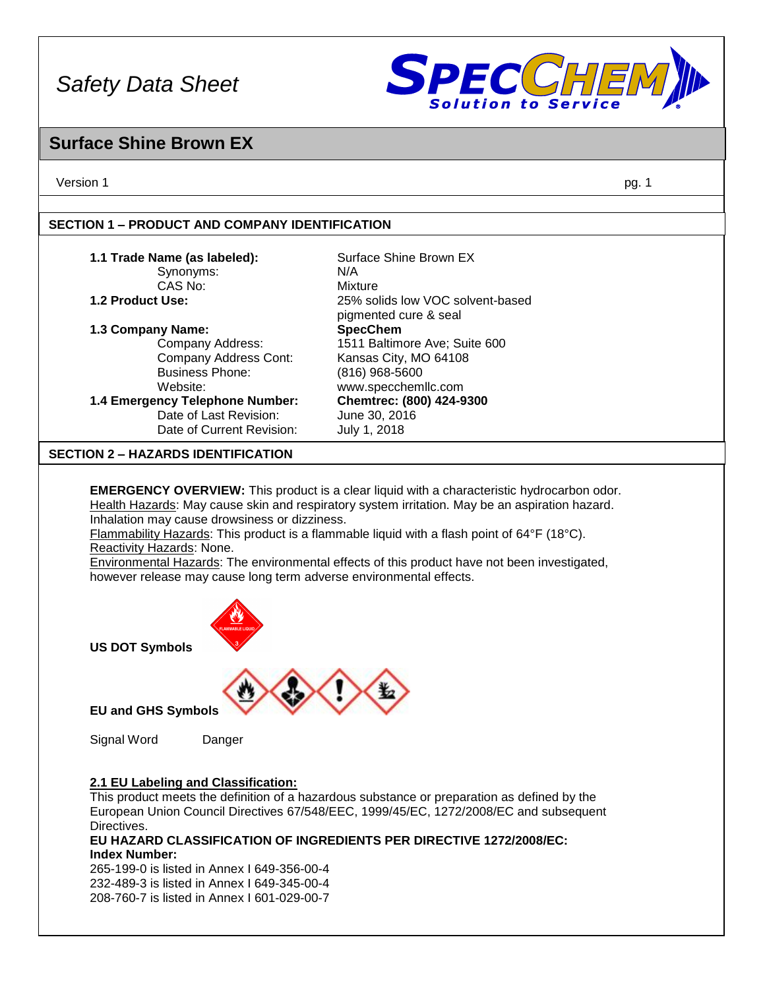

### **Surface Shine Brown EX**

Version 1 pg. 1

#### **SECTION 1 – PRODUCT AND COMPANY IDENTIFICATION**

#### **1.1 Trade Name (as labeled):** Surface Shine Brown EX

#### Synonyms: N/A

#### **1.3 Company Name:**

Company Address Cont: Kansas City, MO 64108<br>Business Phone: (816) 968-5600 Website: www.specchemllc.com

Date of Last Revision: June 30, 2016 Date of Current Revision: July 1, 2018

CAS No: Mixture **1.2 Product Use:** 25% solids low VOC solvent-based pigmented cure & seal<br>SpecChem Company Address: 1511 Baltimore Ave; Suite 600 Business Phone: (816) 968-5600 **1.4 Emergency Telephone Number: Chemtrec: (800) 424-9300**

#### **SECTION 2 – HAZARDS IDENTIFICATION**

**EMERGENCY OVERVIEW:** This product is a clear liquid with a characteristic hydrocarbon odor. Health Hazards: May cause skin and respiratory system irritation. May be an aspiration hazard. Inhalation may cause drowsiness or dizziness.

Flammability Hazards: This product is a flammable liquid with a flash point of 64°F (18°C). Reactivity Hazards: None.

Environmental Hazards: The environmental effects of this product have not been investigated, however release may cause long term adverse environmental effects.



**US DOT Symbols**

**EU and GHS Symbols**

Signal Word Danger

#### **2.1 EU Labeling and Classification:**

This product meets the definition of a hazardous substance or preparation as defined by the European Union Council Directives 67/548/EEC, 1999/45/EC, 1272/2008/EC and subsequent Directives.

**EU HAZARD CLASSIFICATION OF INGREDIENTS PER DIRECTIVE 1272/2008/EC: Index Number:**

265-199-0 is listed in Annex I 649-356-00-4 232-489-3 is listed in Annex I 649-345-00-4 208-760-7 is listed in Annex I 601-029-00-7

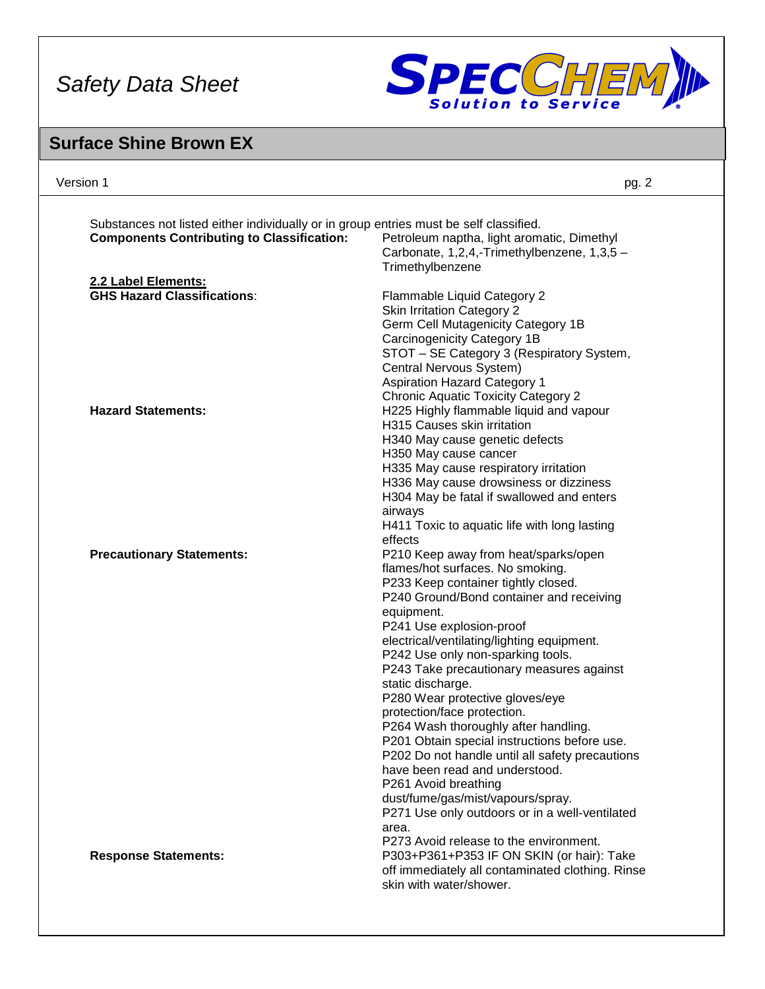

### **Surface Shine Brown EX**

| Version 1                                                                                                                                   | pg. 2                                                           |
|---------------------------------------------------------------------------------------------------------------------------------------------|-----------------------------------------------------------------|
| Substances not listed either individually or in group entries must be self classified.<br><b>Components Contributing to Classification:</b> | Petroleum naptha, light aromatic, Dimethyl                      |
|                                                                                                                                             | Carbonate, 1,2,4,-Trimethylbenzene, 1,3,5 -<br>Trimethylbenzene |
| 2.2 Label Elements:                                                                                                                         |                                                                 |
| <b>GHS Hazard Classifications:</b>                                                                                                          | Flammable Liquid Category 2                                     |
|                                                                                                                                             | <b>Skin Irritation Category 2</b>                               |
|                                                                                                                                             | Germ Cell Mutagenicity Category 1B                              |
|                                                                                                                                             | Carcinogenicity Category 1B                                     |
|                                                                                                                                             | STOT - SE Category 3 (Respiratory System,                       |
|                                                                                                                                             | Central Nervous System)                                         |
|                                                                                                                                             | <b>Aspiration Hazard Category 1</b>                             |
|                                                                                                                                             | <b>Chronic Aquatic Toxicity Category 2</b>                      |
| <b>Hazard Statements:</b>                                                                                                                   | H225 Highly flammable liquid and vapour                         |
|                                                                                                                                             | H315 Causes skin irritation                                     |
|                                                                                                                                             | H340 May cause genetic defects                                  |
|                                                                                                                                             | H350 May cause cancer                                           |
|                                                                                                                                             | H335 May cause respiratory irritation                           |
|                                                                                                                                             | H336 May cause drowsiness or dizziness                          |
|                                                                                                                                             | H304 May be fatal if swallowed and enters                       |
|                                                                                                                                             | airways                                                         |
|                                                                                                                                             | H411 Toxic to aquatic life with long lasting                    |
|                                                                                                                                             | effects                                                         |
| <b>Precautionary Statements:</b>                                                                                                            | P210 Keep away from heat/sparks/open                            |
|                                                                                                                                             | flames/hot surfaces. No smoking.                                |
|                                                                                                                                             | P233 Keep container tightly closed.                             |
|                                                                                                                                             | P240 Ground/Bond container and receiving                        |
|                                                                                                                                             | equipment.                                                      |
|                                                                                                                                             | P241 Use explosion-proof                                        |
|                                                                                                                                             | electrical/ventilating/lighting equipment.                      |
|                                                                                                                                             | P242 Use only non-sparking tools.                               |
|                                                                                                                                             | P243 Take precautionary measures against                        |
|                                                                                                                                             | static discharge.                                               |
|                                                                                                                                             | P280 Wear protective gloves/eye                                 |
|                                                                                                                                             | protection/face protection.                                     |
|                                                                                                                                             | P264 Wash thoroughly after handling.                            |
|                                                                                                                                             | P201 Obtain special instructions before use.                    |
|                                                                                                                                             | P202 Do not handle until all safety precautions                 |
|                                                                                                                                             | have been read and understood.                                  |
|                                                                                                                                             |                                                                 |
|                                                                                                                                             | P261 Avoid breathing                                            |
|                                                                                                                                             | dust/fume/gas/mist/vapours/spray.                               |
|                                                                                                                                             | P271 Use only outdoors or in a well-ventilated                  |
|                                                                                                                                             | area.                                                           |
|                                                                                                                                             | P273 Avoid release to the environment.                          |
| <b>Response Statements:</b>                                                                                                                 | P303+P361+P353 IF ON SKIN (or hair): Take                       |
|                                                                                                                                             | off immediately all contaminated clothing. Rinse                |
|                                                                                                                                             | skin with water/shower.                                         |
|                                                                                                                                             |                                                                 |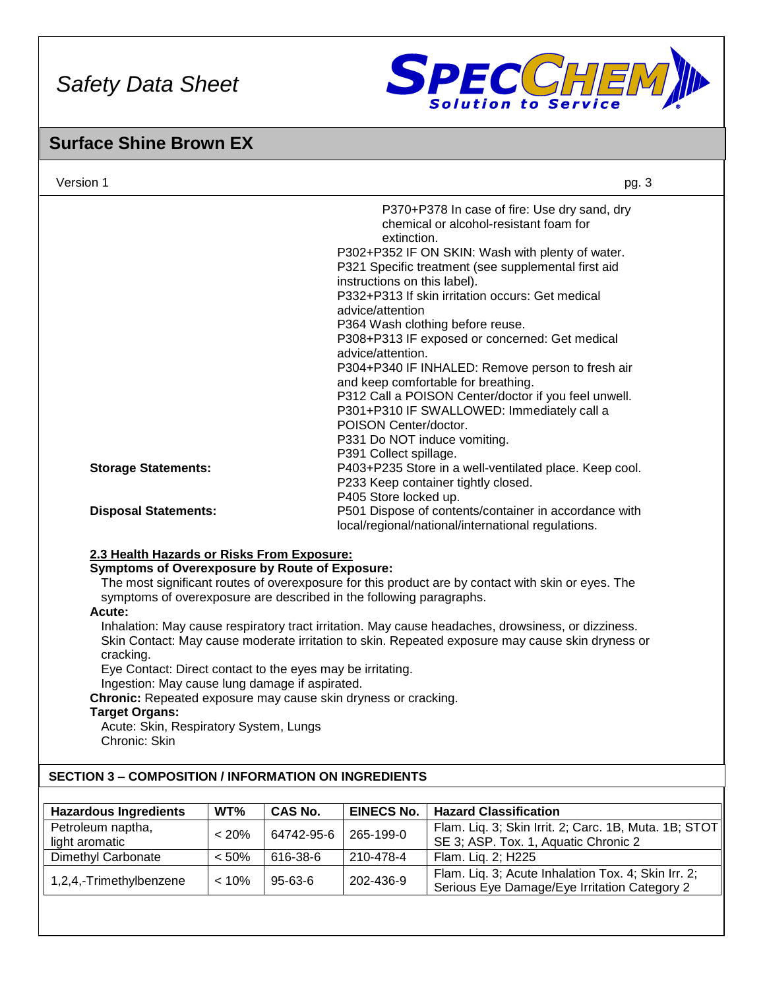

Serious Eye Damage/Eye Irritation Category 2

### **Surface Shine Brown EX**

| Version 1      |                                                                                                                                                                                                                                                                                                                                                                                                                                                                         |                                                                                                                                                                             |                |                                                                                      | pg. 3                                                                                                                                                                                                                                                                                                                                       |
|----------------|-------------------------------------------------------------------------------------------------------------------------------------------------------------------------------------------------------------------------------------------------------------------------------------------------------------------------------------------------------------------------------------------------------------------------------------------------------------------------|-----------------------------------------------------------------------------------------------------------------------------------------------------------------------------|----------------|--------------------------------------------------------------------------------------|---------------------------------------------------------------------------------------------------------------------------------------------------------------------------------------------------------------------------------------------------------------------------------------------------------------------------------------------|
|                |                                                                                                                                                                                                                                                                                                                                                                                                                                                                         |                                                                                                                                                                             |                | extinction.<br>instructions on this label).<br>advice/attention<br>advice/attention. | P370+P378 In case of fire: Use dry sand, dry<br>chemical or alcohol-resistant foam for<br>P302+P352 IF ON SKIN: Wash with plenty of water.<br>P321 Specific treatment (see supplemental first aid<br>P332+P313 If skin irritation occurs: Get medical<br>P364 Wash clothing before reuse.<br>P308+P313 IF exposed or concerned: Get medical |
|                | <b>Storage Statements:</b>                                                                                                                                                                                                                                                                                                                                                                                                                                              |                                                                                                                                                                             |                | POISON Center/doctor.<br>P331 Do NOT induce vomiting.<br>P391 Collect spillage.      | P304+P340 IF INHALED: Remove person to fresh air<br>and keep comfortable for breathing.<br>P312 Call a POISON Center/doctor if you feel unwell.<br>P301+P310 IF SWALLOWED: Immediately call a<br>P403+P235 Store in a well-ventilated place. Keep cool.                                                                                     |
|                | <b>Disposal Statements:</b>                                                                                                                                                                                                                                                                                                                                                                                                                                             | P233 Keep container tightly closed.<br>P405 Store locked up.<br>P501 Dispose of contents/container in accordance with<br>local/regional/national/international regulations. |                |                                                                                      |                                                                                                                                                                                                                                                                                                                                             |
|                | 2.3 Health Hazards or Risks From Exposure:<br><b>Symptoms of Overexposure by Route of Exposure:</b><br>symptoms of overexposure are described in the following paragraphs.<br>Acute:<br>cracking.<br>Eye Contact: Direct contact to the eyes may be irritating.<br>Ingestion: May cause lung damage if aspirated.<br>Chronic: Repeated exposure may cause skin dryness or cracking.<br><b>Target Organs:</b><br>Acute: Skin, Respiratory System, Lungs<br>Chronic: Skin |                                                                                                                                                                             |                |                                                                                      | The most significant routes of overexposure for this product are by contact with skin or eyes. The<br>Inhalation: May cause respiratory tract irritation. May cause headaches, drowsiness, or dizziness.<br>Skin Contact: May cause moderate irritation to skin. Repeated exposure may cause skin dryness or                                |
|                | <b>SECTION 3 - COMPOSITION / INFORMATION ON INGREDIENTS</b>                                                                                                                                                                                                                                                                                                                                                                                                             |                                                                                                                                                                             |                |                                                                                      |                                                                                                                                                                                                                                                                                                                                             |
|                | <b>Hazardous Ingredients</b>                                                                                                                                                                                                                                                                                                                                                                                                                                            | WT%                                                                                                                                                                         | <b>CAS No.</b> | <b>EINECS No.</b>                                                                    | <b>Hazard Classification</b>                                                                                                                                                                                                                                                                                                                |
| light aromatic | Petroleum naptha,                                                                                                                                                                                                                                                                                                                                                                                                                                                       | $< 20\%$                                                                                                                                                                    | 64742-95-6     | 265-199-0                                                                            | Flam. Liq. 3; Skin Irrit. 2; Carc. 1B, Muta. 1B; STOT<br>SE 3; ASP. Tox. 1, Aquatic Chronic 2                                                                                                                                                                                                                                               |
|                | Dimethyl Carbonate                                                                                                                                                                                                                                                                                                                                                                                                                                                      | < 50%                                                                                                                                                                       | 616-38-6       | 210-478-4                                                                            | Flam. Liq. 2; H225                                                                                                                                                                                                                                                                                                                          |
|                | 1,2,4,-Trimethylbenzene                                                                                                                                                                                                                                                                                                                                                                                                                                                 | < 10%                                                                                                                                                                       | 95-63-6        | 202-436-9                                                                            | Flam. Liq. 3; Acute Inhalation Tox. 4; Skin Irr. 2;<br><b>Corious Eve Demage/Eve Irritation Cotogory 2</b>                                                                                                                                                                                                                                  |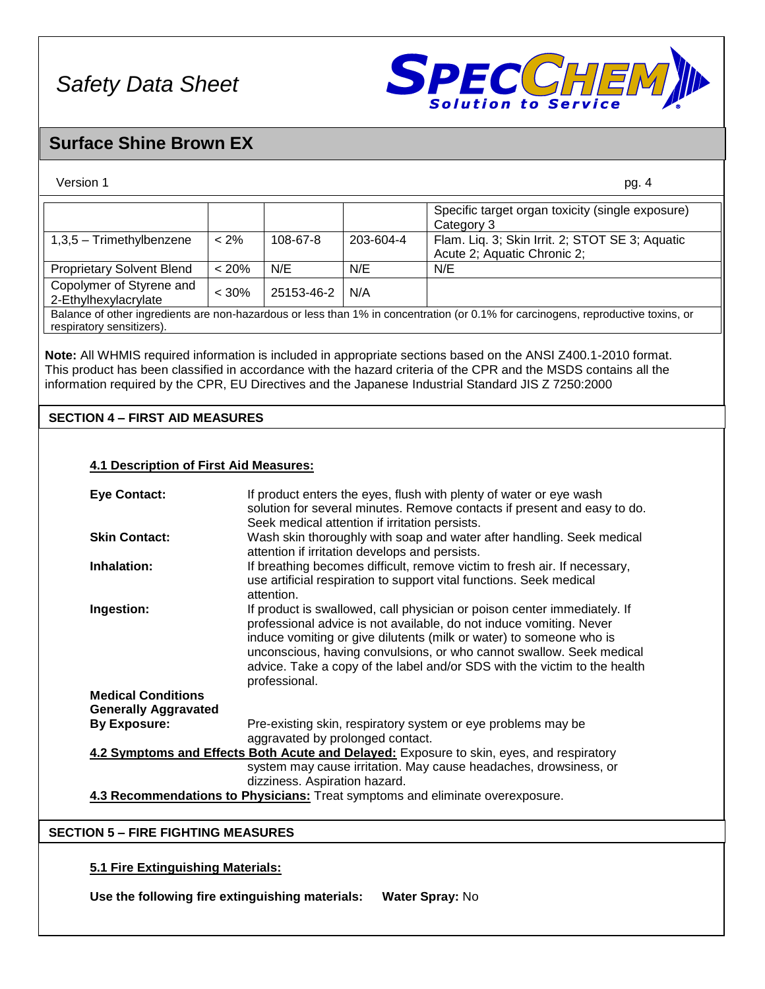

### **Surface Shine Brown EX**

| Version 1                                                           |                                                                                                                                                   |                                                                                                                         |                                                | pg. 4                                                                                                                                                                                                                                                                                                                                     |
|---------------------------------------------------------------------|---------------------------------------------------------------------------------------------------------------------------------------------------|-------------------------------------------------------------------------------------------------------------------------|------------------------------------------------|-------------------------------------------------------------------------------------------------------------------------------------------------------------------------------------------------------------------------------------------------------------------------------------------------------------------------------------------|
|                                                                     |                                                                                                                                                   |                                                                                                                         |                                                | Specific target organ toxicity (single exposure)<br>Category 3                                                                                                                                                                                                                                                                            |
| 1,3,5 - Trimethylbenzene                                            | $< 2\%$                                                                                                                                           | 108-67-8                                                                                                                | 203-604-4                                      | Flam. Liq. 3; Skin Irrit. 2; STOT SE 3; Aquatic<br>Acute 2; Aquatic Chronic 2;                                                                                                                                                                                                                                                            |
| <b>Proprietary Solvent Blend</b>                                    | < 20%                                                                                                                                             | N/E                                                                                                                     | N/E                                            | N/E                                                                                                                                                                                                                                                                                                                                       |
| Copolymer of Styrene and<br>2-Ethylhexylacrylate                    | $< 30\%$                                                                                                                                          | 25153-46-2                                                                                                              | N/A                                            |                                                                                                                                                                                                                                                                                                                                           |
| respiratory sensitizers).                                           |                                                                                                                                                   |                                                                                                                         |                                                | Balance of other ingredients are non-hazardous or less than 1% in concentration (or 0.1% for carcinogens, reproductive toxins, or                                                                                                                                                                                                         |
|                                                                     |                                                                                                                                                   |                                                                                                                         |                                                | Note: All WHMIS required information is included in appropriate sections based on the ANSI Z400.1-2010 format.<br>This product has been classified in accordance with the hazard criteria of the CPR and the MSDS contains all the<br>information required by the CPR, EU Directives and the Japanese Industrial Standard JIS Z 7250:2000 |
| <b>SECTION 4 - FIRST AID MEASURES</b>                               |                                                                                                                                                   |                                                                                                                         |                                                |                                                                                                                                                                                                                                                                                                                                           |
|                                                                     |                                                                                                                                                   |                                                                                                                         |                                                |                                                                                                                                                                                                                                                                                                                                           |
| <b>4.1 Description of First Aid Measures:</b>                       |                                                                                                                                                   |                                                                                                                         |                                                |                                                                                                                                                                                                                                                                                                                                           |
| <b>Eye Contact:</b>                                                 |                                                                                                                                                   |                                                                                                                         |                                                | If product enters the eyes, flush with plenty of water or eye wash                                                                                                                                                                                                                                                                        |
|                                                                     |                                                                                                                                                   |                                                                                                                         |                                                | solution for several minutes. Remove contacts if present and easy to do.                                                                                                                                                                                                                                                                  |
|                                                                     |                                                                                                                                                   |                                                                                                                         | Seek medical attention if irritation persists. |                                                                                                                                                                                                                                                                                                                                           |
| <b>Skin Contact:</b>                                                |                                                                                                                                                   | Wash skin thoroughly with soap and water after handling. Seek medical<br>attention if irritation develops and persists. |                                                |                                                                                                                                                                                                                                                                                                                                           |
| Inhalation:                                                         | If breathing becomes difficult, remove victim to fresh air. If necessary,                                                                         |                                                                                                                         |                                                |                                                                                                                                                                                                                                                                                                                                           |
|                                                                     | use artificial respiration to support vital functions. Seek medical<br>attention.                                                                 |                                                                                                                         |                                                |                                                                                                                                                                                                                                                                                                                                           |
| Ingestion:                                                          | If product is swallowed, call physician or poison center immediately. If                                                                          |                                                                                                                         |                                                |                                                                                                                                                                                                                                                                                                                                           |
| professional advice is not available, do not induce vomiting. Never |                                                                                                                                                   |                                                                                                                         |                                                |                                                                                                                                                                                                                                                                                                                                           |
|                                                                     | induce vomiting or give dilutents (milk or water) to someone who is                                                                               |                                                                                                                         |                                                |                                                                                                                                                                                                                                                                                                                                           |
|                                                                     | unconscious, having convulsions, or who cannot swallow. Seek medical<br>advice. Take a copy of the label and/or SDS with the victim to the health |                                                                                                                         |                                                |                                                                                                                                                                                                                                                                                                                                           |
| professional.                                                       |                                                                                                                                                   |                                                                                                                         |                                                |                                                                                                                                                                                                                                                                                                                                           |
| <b>Medical Conditions</b>                                           |                                                                                                                                                   |                                                                                                                         |                                                |                                                                                                                                                                                                                                                                                                                                           |
| <b>Generally Aggravated</b>                                         |                                                                                                                                                   |                                                                                                                         |                                                |                                                                                                                                                                                                                                                                                                                                           |
| <b>By Exposure:</b>                                                 |                                                                                                                                                   |                                                                                                                         |                                                | Pre-existing skin, respiratory system or eye problems may be                                                                                                                                                                                                                                                                              |
| aggravated by prolonged contact.                                    |                                                                                                                                                   |                                                                                                                         |                                                |                                                                                                                                                                                                                                                                                                                                           |
|                                                                     |                                                                                                                                                   |                                                                                                                         |                                                | 4.2 Symptoms and Effects Both Acute and Delayed: Exposure to skin, eyes, and respiratory                                                                                                                                                                                                                                                  |
|                                                                     |                                                                                                                                                   | dizziness. Aspiration hazard.                                                                                           |                                                | system may cause irritation. May cause headaches, drowsiness, or                                                                                                                                                                                                                                                                          |
|                                                                     |                                                                                                                                                   |                                                                                                                         |                                                | 4.3 Recommendations to Physicians: Treat symptoms and eliminate overexposure.                                                                                                                                                                                                                                                             |
|                                                                     |                                                                                                                                                   |                                                                                                                         |                                                |                                                                                                                                                                                                                                                                                                                                           |
| <b>SECTION 5 - FIRE FIGHTING MEASURES</b>                           |                                                                                                                                                   |                                                                                                                         |                                                |                                                                                                                                                                                                                                                                                                                                           |
|                                                                     |                                                                                                                                                   |                                                                                                                         |                                                |                                                                                                                                                                                                                                                                                                                                           |
|                                                                     |                                                                                                                                                   |                                                                                                                         |                                                |                                                                                                                                                                                                                                                                                                                                           |
| 5.1 Fire Extinguishing Materials:                                   |                                                                                                                                                   |                                                                                                                         |                                                |                                                                                                                                                                                                                                                                                                                                           |

**Use the following fire extinguishing materials: Water Spray:** No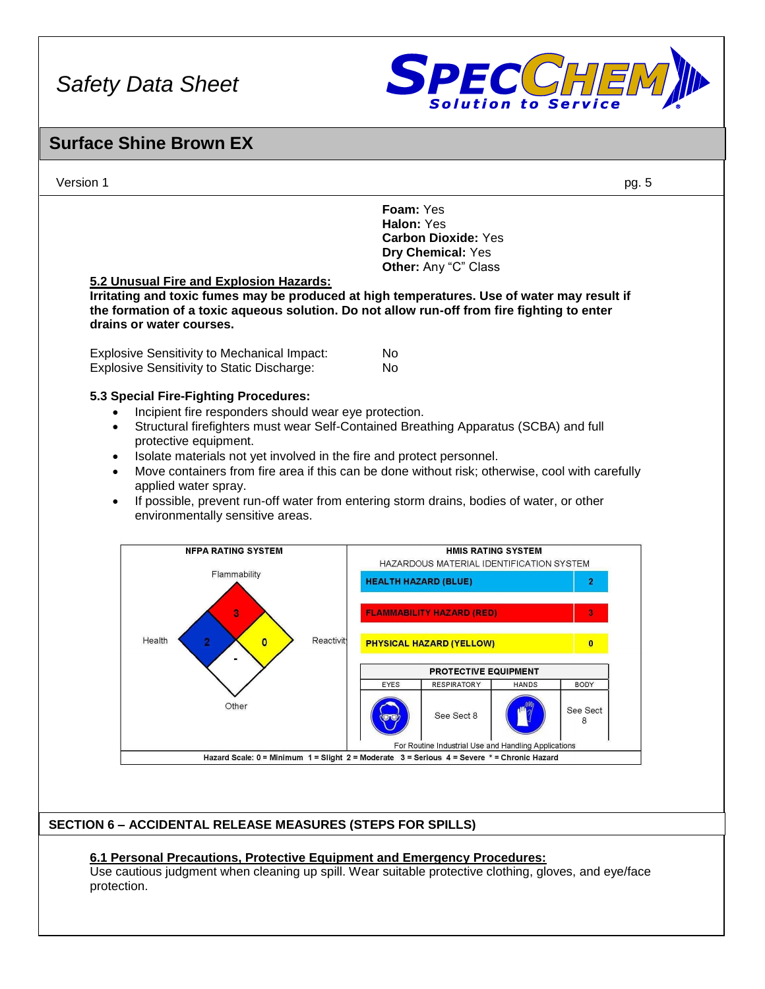

### **Surface Shine Brown EX**

Version 1 pg. 5

**Foam:** Yes **Halon:** Yes **Carbon Dioxide:** Yes **Dry Chemical:** Yes **Other:** Any "C" Class

#### **5.2 Unusual Fire and Explosion Hazards:**

**Irritating and toxic fumes may be produced at high temperatures. Use of water may result if the formation of a toxic aqueous solution. Do not allow run-off from fire fighting to enter drains or water courses.**

Explosive Sensitivity to Mechanical Impact: No Explosive Sensitivity to Static Discharge: No

#### **5.3 Special Fire-Fighting Procedures:**

- Incipient fire responders should wear eye protection.
- Structural firefighters must wear Self-Contained Breathing Apparatus (SCBA) and full protective equipment.
- Isolate materials not yet involved in the fire and protect personnel.
- Move containers from fire area if this can be done without risk; otherwise, cool with carefully applied water spray.
- If possible, prevent run-off water from entering storm drains, bodies of water, or other environmentally sensitive areas.



#### **SECTION 6 – ACCIDENTAL RELEASE MEASURES (STEPS FOR SPILLS)**

#### **6.1 Personal Precautions, Protective Equipment and Emergency Procedures:**

Use cautious judgment when cleaning up spill. Wear suitable protective clothing, gloves, and eye/face protection.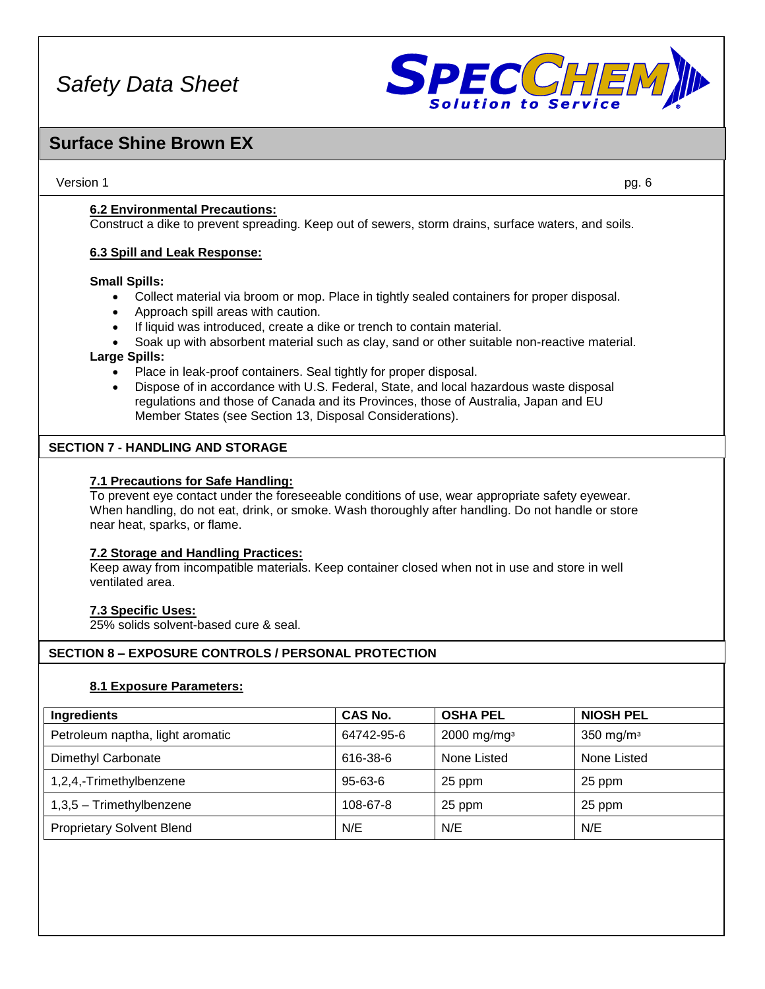

### **Surface Shine Brown EX**

Version 1 pg. 6

**6.2 Environmental Precautions:**

Construct a dike to prevent spreading. Keep out of sewers, storm drains, surface waters, and soils.

#### **6.3 Spill and Leak Response:**

#### **Small Spills:**

- Collect material via broom or mop. Place in tightly sealed containers for proper disposal.
- Approach spill areas with caution.
- If liquid was introduced, create a dike or trench to contain material.
- Soak up with absorbent material such as clay, sand or other suitable non-reactive material.

#### **Large Spills:**

- Place in leak-proof containers. Seal tightly for proper disposal.
- Dispose of in accordance with U.S. Federal, State, and local hazardous waste disposal regulations and those of Canada and its Provinces, those of Australia, Japan and EU Member States (see Section 13, Disposal Considerations).

#### **SECTION 7 - HANDLING AND STORAGE**

#### **7.1 Precautions for Safe Handling:**

To prevent eye contact under the foreseeable conditions of use, wear appropriate safety eyewear. When handling, do not eat, drink, or smoke. Wash thoroughly after handling. Do not handle or store near heat, sparks, or flame.

#### **7.2 Storage and Handling Practices:**

Keep away from incompatible materials. Keep container closed when not in use and store in well ventilated area.

#### **7.3 Specific Uses:**

25% solids solvent-based cure & seal.

#### **SECTION 8 – EXPOSURE CONTROLS / PERSONAL PROTECTION**

#### **8.1 Exposure Parameters:**

| Ingredients                      | CAS No.       | <b>OSHA PEL</b>           | <b>NIOSH PEL</b>        |
|----------------------------------|---------------|---------------------------|-------------------------|
| Petroleum naptha, light aromatic | 64742-95-6    | $2000$ mg/mg <sup>3</sup> | $350$ mg/m <sup>3</sup> |
| Dimethyl Carbonate               | 616-38-6      | None Listed               | None Listed             |
| 1,2,4,-Trimethylbenzene          | $95 - 63 - 6$ | 25 ppm                    | 25 ppm                  |
| $1,3,5$ – Trimethylbenzene       | 108-67-8      | 25 ppm                    | 25 ppm                  |
| <b>Proprietary Solvent Blend</b> | N/E           | N/E                       | N/E                     |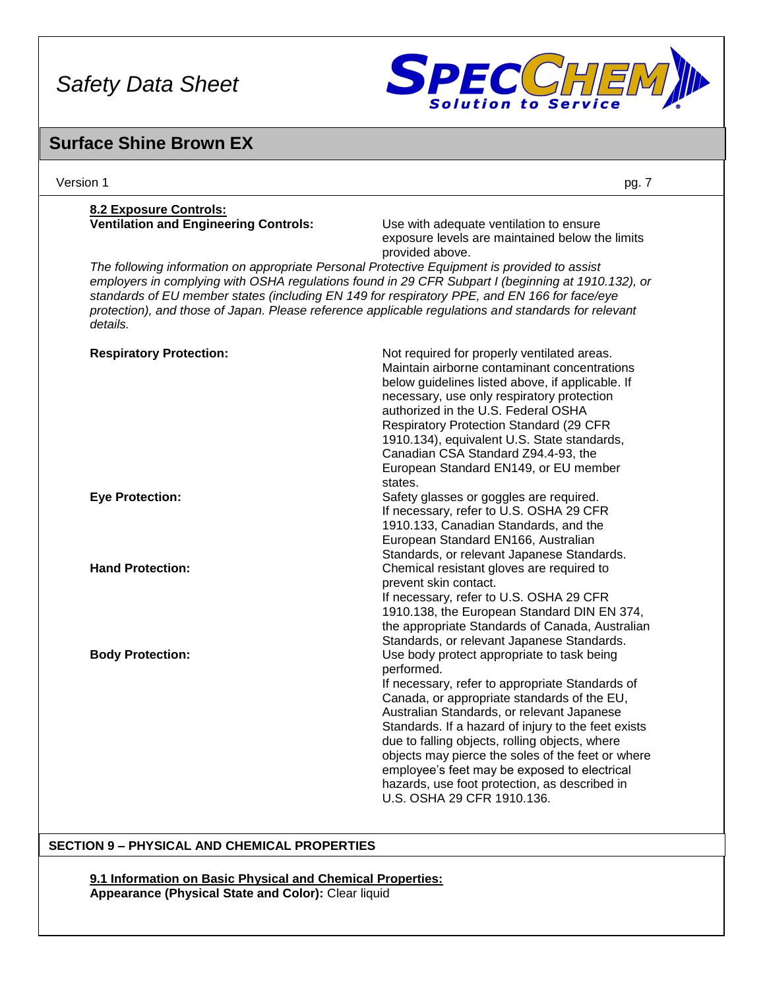

### **Surface Shine Brown EX**

| Version 1                                    | pg. 7                                                                                                                                                                                                                                                                                                                                                                                                                                                                                                 |
|----------------------------------------------|-------------------------------------------------------------------------------------------------------------------------------------------------------------------------------------------------------------------------------------------------------------------------------------------------------------------------------------------------------------------------------------------------------------------------------------------------------------------------------------------------------|
| 8.2 Exposure Controls:                       |                                                                                                                                                                                                                                                                                                                                                                                                                                                                                                       |
| <b>Ventilation and Engineering Controls:</b> | Use with adequate ventilation to ensure<br>exposure levels are maintained below the limits<br>provided above.                                                                                                                                                                                                                                                                                                                                                                                         |
| details.                                     | The following information on appropriate Personal Protective Equipment is provided to assist<br>employers in complying with OSHA regulations found in 29 CFR Subpart I (beginning at 1910.132), or<br>standards of EU member states (including EN 149 for respiratory PPE, and EN 166 for face/eye<br>protection), and those of Japan. Please reference applicable regulations and standards for relevant                                                                                             |
| <b>Respiratory Protection:</b>               | Not required for properly ventilated areas.<br>Maintain airborne contaminant concentrations<br>below guidelines listed above, if applicable. If<br>necessary, use only respiratory protection<br>authorized in the U.S. Federal OSHA<br>Respiratory Protection Standard (29 CFR<br>1910.134), equivalent U.S. State standards,<br>Canadian CSA Standard Z94.4-93, the<br>European Standard EN149, or EU member<br>states.                                                                             |
| <b>Eye Protection:</b>                       | Safety glasses or goggles are required.<br>If necessary, refer to U.S. OSHA 29 CFR<br>1910.133, Canadian Standards, and the<br>European Standard EN166, Australian<br>Standards, or relevant Japanese Standards.                                                                                                                                                                                                                                                                                      |
| <b>Hand Protection:</b>                      | Chemical resistant gloves are required to<br>prevent skin contact.<br>If necessary, refer to U.S. OSHA 29 CFR<br>1910.138, the European Standard DIN EN 374,<br>the appropriate Standards of Canada, Australian<br>Standards, or relevant Japanese Standards.                                                                                                                                                                                                                                         |
| <b>Body Protection:</b>                      | Use body protect appropriate to task being<br>performed.<br>If necessary, refer to appropriate Standards of<br>Canada, or appropriate standards of the EU,<br>Australian Standards, or relevant Japanese<br>Standards. If a hazard of injury to the feet exists<br>due to falling objects, rolling objects, where<br>objects may pierce the soles of the feet or where<br>employee's feet may be exposed to electrical<br>hazards, use foot protection, as described in<br>U.S. OSHA 29 CFR 1910.136. |

#### **SECTION 9 – PHYSICAL AND CHEMICAL PROPERTIES**

**9.1 Information on Basic Physical and Chemical Properties: Appearance (Physical State and Color):** Clear liquid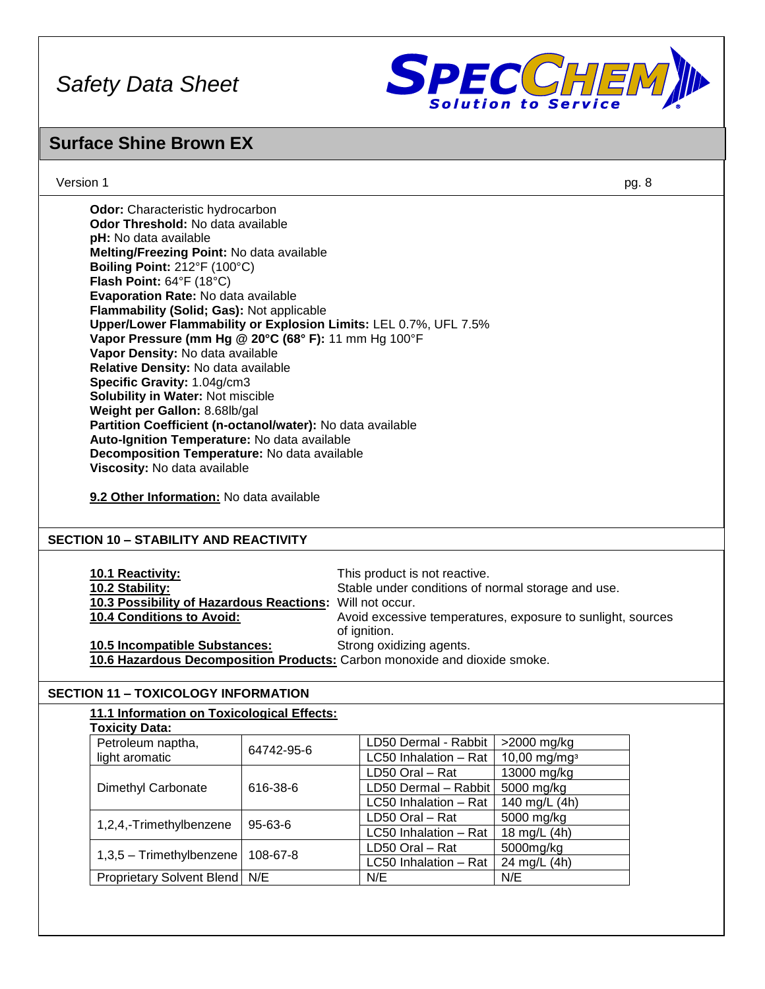

### **Surface Shine Brown EX**

Version 1 pg. 8

| <b>Odor:</b> Characteristic hydrocarbon                          |
|------------------------------------------------------------------|
| <b>Odor Threshold:</b> No data available                         |
| <b>pH:</b> No data available                                     |
| Melting/Freezing Point: No data available                        |
| Boiling Point: 212°F (100°C)                                     |
| <b>Flash Point:</b> $64^{\circ}F$ (18 $^{\circ}C$ )              |
| Evaporation Rate: No data available                              |
| Flammability (Solid; Gas): Not applicable                        |
| Upper/Lower Flammability or Explosion Limits: LEL 0.7%, UFL 7.5% |
| Vapor Pressure (mm Hg @ 20°C (68° F): 11 mm Hg 100°F             |
| Vapor Density: No data available                                 |
| Relative Density: No data available                              |
| Specific Gravity: 1.04g/cm3                                      |
| <b>Solubility in Water: Not miscible</b>                         |
| Weight per Gallon: 8.68lb/gal                                    |
| Partition Coefficient (n-octanol/water): No data available       |
| Auto-Ignition Temperature: No data available                     |
| Decomposition Temperature: No data available                     |
| Viscosity: No data available                                     |
|                                                                  |

**9.2 Other Information:** No data available

#### **SECTION 10 – STABILITY AND REACTIVITY**

| <b>10.1 Reactivity:</b><br>10.2 Stability:<br>10.3 Possibility of Hazardous Reactions: Will not occur.<br><b>10.4 Conditions to Avoid:</b> | This product is not reactive.<br>Stable under conditions of normal storage and use.<br>Avoid excessive temperatures, exposure to sunlight, sources |
|--------------------------------------------------------------------------------------------------------------------------------------------|----------------------------------------------------------------------------------------------------------------------------------------------------|
|                                                                                                                                            | of ignition.                                                                                                                                       |
| <b>10.5 Incompatible Substances:</b>                                                                                                       | Strong oxidizing agents.                                                                                                                           |
| 10.6 Hazardous Decomposition Products: Carbon monoxide and dioxide smoke.                                                                  |                                                                                                                                                    |

#### **SECTION 11 – TOXICOLOGY INFORMATION**

| 11.1 Information on Toxicological Effects: |                 |                       |                          |
|--------------------------------------------|-----------------|-----------------------|--------------------------|
| <b>Toxicity Data:</b>                      |                 |                       |                          |
| Petroleum naptha,                          | 64742-95-6      | LD50 Dermal - Rabbit  | $>2000$ mg/kg            |
| light aromatic                             |                 | LC50 Inhalation - Rat | 10,00 mg/mg <sup>3</sup> |
|                                            |                 | LD50 Oral - Rat       | 13000 mg/kg              |
| Dimethyl Carbonate                         | 616-38-6        | LD50 Dermal - Rabbit  | 5000 mg/kg               |
|                                            |                 | LC50 Inhalation - Rat | 140 mg/L (4h)            |
| 1,2,4,-Trimethylbenzene<br>$95 - 63 - 6$   | LD50 Oral - Rat | 5000 mg/kg            |                          |
|                                            |                 | LC50 Inhalation - Rat | 18 mg/L (4h)             |
|                                            | 108-67-8        | LD50 Oral - Rat       | 5000mg/kg                |
| $1,3,5$ – Trimethylbenzene                 |                 | LC50 Inhalation - Rat | 24 mg/L (4h)             |
| <b>Proprietary Solvent Blend</b>           | N/E             | N/E                   | N/E                      |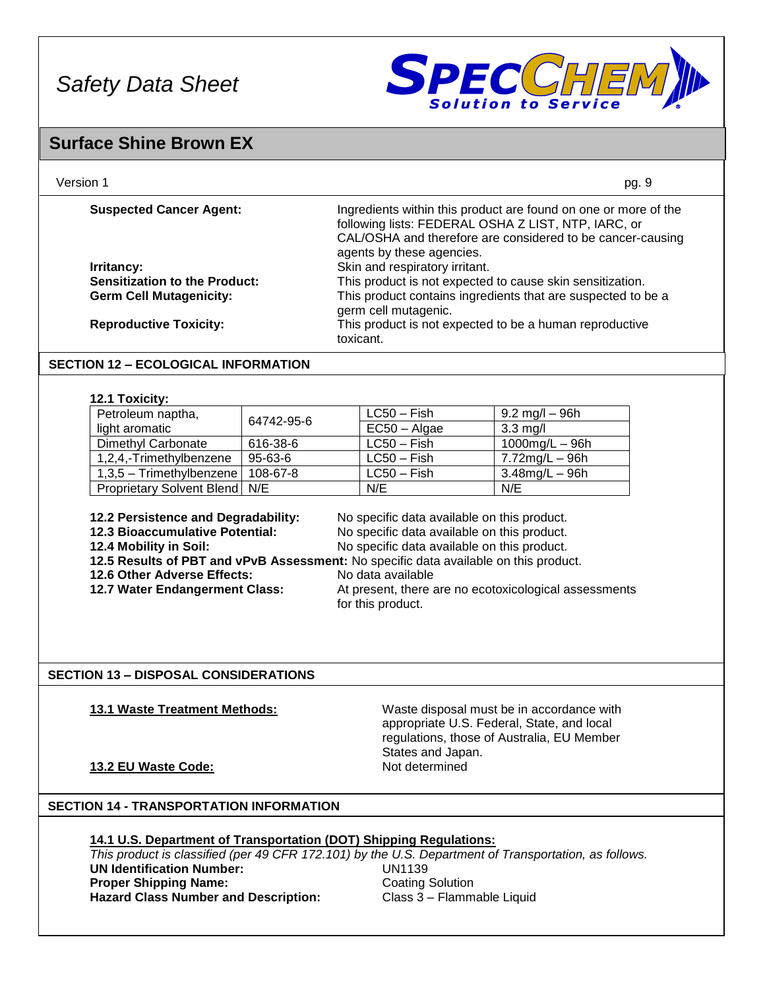

### **Surface Shine Brown EX**

| Version 1                            | pg. 9                                                                                                                                                                                                             |
|--------------------------------------|-------------------------------------------------------------------------------------------------------------------------------------------------------------------------------------------------------------------|
| <b>Suspected Cancer Agent:</b>       | Ingredients within this product are found on one or more of the<br>following lists: FEDERAL OSHA Z LIST, NTP, IARC, or<br>CAL/OSHA and therefore are considered to be cancer-causing<br>agents by these agencies. |
| Irritancy:                           | Skin and respiratory irritant.                                                                                                                                                                                    |
| <b>Sensitization to the Product:</b> | This product is not expected to cause skin sensitization.                                                                                                                                                         |
| <b>Germ Cell Mutagenicity:</b>       | This product contains ingredients that are suspected to be a<br>germ cell mutagenic.                                                                                                                              |
| <b>Reproductive Toxicity:</b>        | This product is not expected to be a human reproductive<br>toxicant.                                                                                                                                              |

#### **SECTION 12 – ECOLOGICAL INFORMATION**

#### **12.1 Toxicity:**

| Petroleum naptha,                      | 64742-95-6 | $LC50 - Fish$  | $9.2 \text{ mg/l} - 96 \text{h}$ |
|----------------------------------------|------------|----------------|----------------------------------|
| light aromatic                         |            | $EC50 - Algae$ | $3.3 \text{ mg/l}$               |
| Dimethyl Carbonate                     | 616-38-6   | $LC50 - Fish$  | 1000mg/L $-$ 96h                 |
| 1,2,4,-Trimethylbenzene                | 95-63-6    | $LC50 - Fish$  | 7.72mg/L – 96h                   |
| $1,3,5$ – Trimethylbenzene   108-67-8  |            | $LC50 - Fish$  | $3.48$ mg/L $-96$ h              |
| <b>Proprietary Solvent Blend   N/E</b> |            | N/E            | N/E                              |

**12.2 Persistence and Degradability:** No specific data available on this product.

**12.3 Bioaccumulative Potential: No specific data available on this product.**<br>**12.4 Mobility in Soil: No specific data available on this product.** No specific data available on this product.

**12.5 Results of PBT and vPvB Assessment:** No specific data available on this product.

- **12.6 Other Adverse Effects:** No data available
- **12.7 Water Endangerment Class:** At present, there are no ecotoxicological assessments
- 

for this product.

#### **SECTION 13 – DISPOSAL CONSIDERATIONS**

**13.1 Waste Treatment Methods:** Waste disposal must be in accordance with appropriate U.S. Federal, State, and local regulations, those of Australia, EU Member States and Japan.

#### **13.2 EU Waste Code:** Not determined

### **SECTION 14 - TRANSPORTATION INFORMATION**

### **14.1 U.S. Department of Transportation (DOT) Shipping Regulations:**

*This product is classified (per 49 CFR 172.101) by the U.S. Department of Transportation, as follows.* **UN Identification Number:** UN1139 **Proper Shipping Name: Coating Solution** Hazard Class Number and Description: Class 3 – Flammable Liquid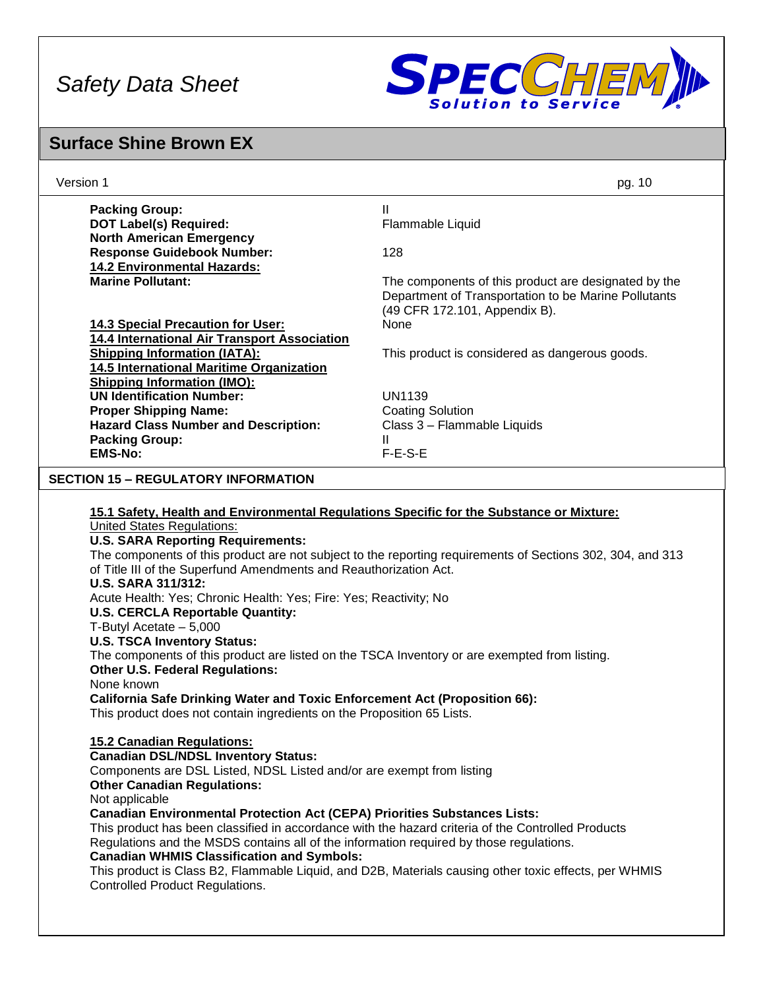

### **Surface Shine Brown EX**

| Version 1                                                                                                                                                                                                                                                                                                                                                                                                                                                                                                                                                                                                                                                                                                                                                                                                                                                                                                                                                                                                                                                                                                                                                                                                                                                                                                  | pg. 10                                               |  |  |
|------------------------------------------------------------------------------------------------------------------------------------------------------------------------------------------------------------------------------------------------------------------------------------------------------------------------------------------------------------------------------------------------------------------------------------------------------------------------------------------------------------------------------------------------------------------------------------------------------------------------------------------------------------------------------------------------------------------------------------------------------------------------------------------------------------------------------------------------------------------------------------------------------------------------------------------------------------------------------------------------------------------------------------------------------------------------------------------------------------------------------------------------------------------------------------------------------------------------------------------------------------------------------------------------------------|------------------------------------------------------|--|--|
| <b>Packing Group:</b>                                                                                                                                                                                                                                                                                                                                                                                                                                                                                                                                                                                                                                                                                                                                                                                                                                                                                                                                                                                                                                                                                                                                                                                                                                                                                      | Ш                                                    |  |  |
| <b>DOT Label(s) Required:</b>                                                                                                                                                                                                                                                                                                                                                                                                                                                                                                                                                                                                                                                                                                                                                                                                                                                                                                                                                                                                                                                                                                                                                                                                                                                                              | Flammable Liquid                                     |  |  |
| <b>North American Emergency</b>                                                                                                                                                                                                                                                                                                                                                                                                                                                                                                                                                                                                                                                                                                                                                                                                                                                                                                                                                                                                                                                                                                                                                                                                                                                                            |                                                      |  |  |
| <b>Response Guidebook Number:</b>                                                                                                                                                                                                                                                                                                                                                                                                                                                                                                                                                                                                                                                                                                                                                                                                                                                                                                                                                                                                                                                                                                                                                                                                                                                                          | 128                                                  |  |  |
| <b>14.2 Environmental Hazards:</b>                                                                                                                                                                                                                                                                                                                                                                                                                                                                                                                                                                                                                                                                                                                                                                                                                                                                                                                                                                                                                                                                                                                                                                                                                                                                         |                                                      |  |  |
| <b>Marine Pollutant:</b>                                                                                                                                                                                                                                                                                                                                                                                                                                                                                                                                                                                                                                                                                                                                                                                                                                                                                                                                                                                                                                                                                                                                                                                                                                                                                   | The components of this product are designated by the |  |  |
|                                                                                                                                                                                                                                                                                                                                                                                                                                                                                                                                                                                                                                                                                                                                                                                                                                                                                                                                                                                                                                                                                                                                                                                                                                                                                                            | Department of Transportation to be Marine Pollutants |  |  |
|                                                                                                                                                                                                                                                                                                                                                                                                                                                                                                                                                                                                                                                                                                                                                                                                                                                                                                                                                                                                                                                                                                                                                                                                                                                                                                            | (49 CFR 172.101, Appendix B).<br>None                |  |  |
| <b>14.3 Special Precaution for User:</b><br>14.4 International Air Transport Association                                                                                                                                                                                                                                                                                                                                                                                                                                                                                                                                                                                                                                                                                                                                                                                                                                                                                                                                                                                                                                                                                                                                                                                                                   |                                                      |  |  |
| <b>Shipping Information (IATA):</b>                                                                                                                                                                                                                                                                                                                                                                                                                                                                                                                                                                                                                                                                                                                                                                                                                                                                                                                                                                                                                                                                                                                                                                                                                                                                        | This product is considered as dangerous goods.       |  |  |
| 14.5 International Maritime Organization                                                                                                                                                                                                                                                                                                                                                                                                                                                                                                                                                                                                                                                                                                                                                                                                                                                                                                                                                                                                                                                                                                                                                                                                                                                                   |                                                      |  |  |
| <b>Shipping Information (IMO):</b>                                                                                                                                                                                                                                                                                                                                                                                                                                                                                                                                                                                                                                                                                                                                                                                                                                                                                                                                                                                                                                                                                                                                                                                                                                                                         |                                                      |  |  |
| <b>UN Identification Number:</b>                                                                                                                                                                                                                                                                                                                                                                                                                                                                                                                                                                                                                                                                                                                                                                                                                                                                                                                                                                                                                                                                                                                                                                                                                                                                           | <b>UN1139</b>                                        |  |  |
| <b>Proper Shipping Name:</b>                                                                                                                                                                                                                                                                                                                                                                                                                                                                                                                                                                                                                                                                                                                                                                                                                                                                                                                                                                                                                                                                                                                                                                                                                                                                               | <b>Coating Solution</b>                              |  |  |
| <b>Hazard Class Number and Description:</b>                                                                                                                                                                                                                                                                                                                                                                                                                                                                                                                                                                                                                                                                                                                                                                                                                                                                                                                                                                                                                                                                                                                                                                                                                                                                | Class 3 - Flammable Liquids                          |  |  |
| <b>Packing Group:</b>                                                                                                                                                                                                                                                                                                                                                                                                                                                                                                                                                                                                                                                                                                                                                                                                                                                                                                                                                                                                                                                                                                                                                                                                                                                                                      | $\mathbf{II}$                                        |  |  |
| <b>EMS-No:</b>                                                                                                                                                                                                                                                                                                                                                                                                                                                                                                                                                                                                                                                                                                                                                                                                                                                                                                                                                                                                                                                                                                                                                                                                                                                                                             | $F-E-S-E$                                            |  |  |
| <b>SECTION 15 - REGULATORY INFORMATION</b>                                                                                                                                                                                                                                                                                                                                                                                                                                                                                                                                                                                                                                                                                                                                                                                                                                                                                                                                                                                                                                                                                                                                                                                                                                                                 |                                                      |  |  |
| 15.1 Safety, Health and Environmental Regulations Specific for the Substance or Mixture:<br><b>United States Regulations:</b><br><b>U.S. SARA Reporting Requirements:</b><br>The components of this product are not subject to the reporting requirements of Sections 302, 304, and 313<br>of Title III of the Superfund Amendments and Reauthorization Act.<br><b>U.S. SARA 311/312:</b><br>Acute Health: Yes; Chronic Health: Yes; Fire: Yes; Reactivity; No<br><b>U.S. CERCLA Reportable Quantity:</b><br>T-Butyl Acetate $-5,000$<br><b>U.S. TSCA Inventory Status:</b><br>The components of this product are listed on the TSCA Inventory or are exempted from listing.<br><b>Other U.S. Federal Regulations:</b><br>None known<br><b>California Safe Drinking Water and Toxic Enforcement Act (Proposition 66):</b><br>This product does not contain ingredients on the Proposition 65 Lists.<br>15.2 Canadian Regulations:<br><b>Canadian DSL/NDSL Inventory Status:</b><br>Components are DSL Listed, NDSL Listed and/or are exempt from listing<br><b>Other Canadian Regulations:</b><br>Not applicable<br><b>Canadian Environmental Protection Act (CEPA) Priorities Substances Lists:</b><br>This product has been classified in accordance with the hazard criteria of the Controlled Products |                                                      |  |  |
| Regulations and the MSDS contains all of the information required by those regulations.<br><b>Canadian WHMIS Classification and Symbols:</b><br>This product is Class B2, Flammable Liquid, and D2B, Materials causing other toxic effects, per WHMIS<br><b>Controlled Product Regulations.</b>                                                                                                                                                                                                                                                                                                                                                                                                                                                                                                                                                                                                                                                                                                                                                                                                                                                                                                                                                                                                            |                                                      |  |  |